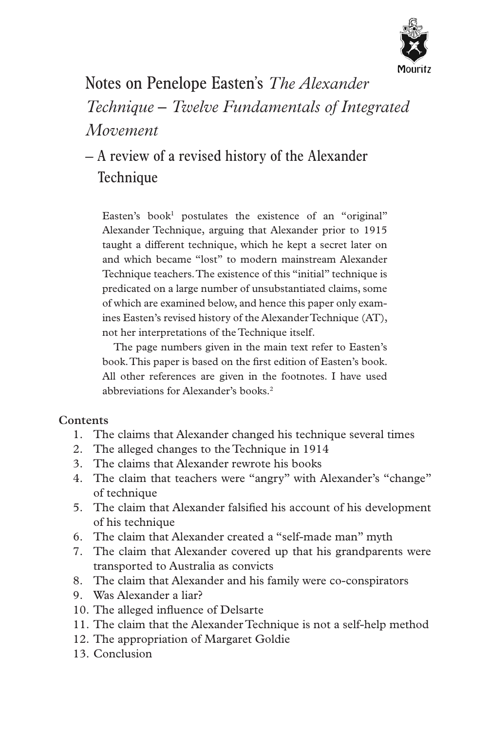

Notes on Penelope Easten's *The Alexander Technique – Twelve Fundamentals of Integrated Movement*

# – A review of a revised history of the Alexander **Technique**

Easten's book<sup>1</sup> postulates the existence of an "original" Alexander Technique, arguing that Alexander prior to 1915 taught a different technique, which he kept a secret later on and which became "lost" to modern mainstream Alexander Technique teachers. The existence of this "initial" technique is predicated on a large number of unsubstantiated claims, some of which are examined below, and hence this paper only examines Easten's revised history of the Alexander Technique (AT), not her interpretations of the Technique itself.

The page numbers given in the main text refer to Easten's book. This paper is based on the first edition of Easten's book. All other references are given in the footnotes. I have used abbreviations for Alexander's books.2

# **Contents**

- 1. The claims that Alexander changed his technique several times
- 2. The alleged changes to the Technique in 1914
- 3. The claims that Alexander rewrote his books
- 4. The claim that teachers were "angry" with Alexander's "change" of technique
- 5. The claim that Alexander falsified his account of his development of his technique
- 6. The claim that Alexander created a "self-made man" myth
- 7. The claim that Alexander covered up that his grandparents were transported to Australia as convicts
- 8. The claim that Alexander and his family were co-conspirators
- 9. Was Alexander a liar?
- 10. The alleged influence of Delsarte
- 11. The claim that the Alexander Technique is not a self-help method
- 12. The appropriation of Margaret Goldie
- 13. Conclusion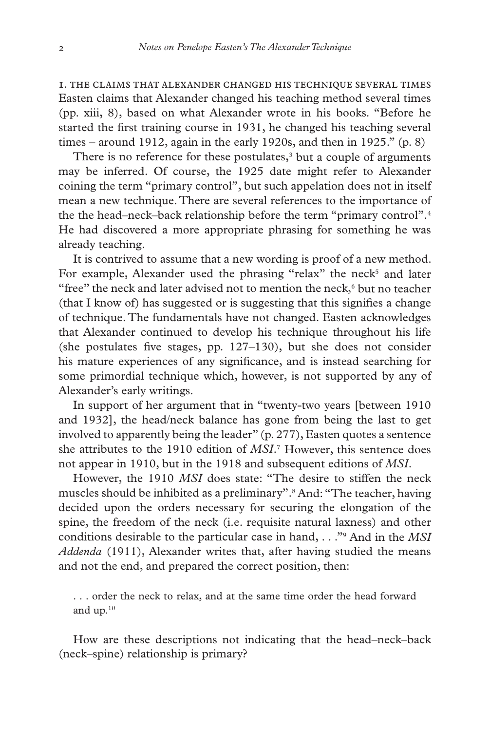1. The claims that Alexander changed his technique several times Easten claims that Alexander changed his teaching method several times (pp. xiii, 8), based on what Alexander wrote in his books. "Before he started the first training course in 1931, he changed his teaching several times – around 1912, again in the early 1920s, and then in 1925."  $(p, 8)$ 

There is no reference for these postulates, $3$  but a couple of arguments may be inferred. Of course, the 1925 date might refer to Alexander coining the term "primary control", but such appelation does not in itself mean a new technique. There are several references to the importance of the the head–neck–back relationship before the term "primary control".4 He had discovered a more appropriate phrasing for something he was already teaching.

It is contrived to assume that a new wording is proof of a new method. For example, Alexander used the phrasing "relax" the neck<sup>5</sup> and later "free" the neck and later advised not to mention the neck, $6$  but no teacher (that I know of) has suggested or is suggesting that this signifies a change of technique. The fundamentals have not changed. Easten acknowledges that Alexander continued to develop his technique throughout his life (she postulates five stages, pp.  $127-130$ ), but she does not consider his mature experiences of any significance, and is instead searching for some primordial technique which, however, is not supported by any of Alexander's early writings.

In support of her argument that in "twenty-two years [between 1910 and 1932], the head/neck balance has gone from being the last to get involved to apparently being the leader" (p. 277), Easten quotes a sentence she attributes to the 1910 edition of *MSI*. 7 However, this sentence does not appear in 1910, but in the 1918 and subsequent editions of *MSI*.

However, the 1910 *MSI* does state: "The desire to stiffen the neck muscles should be inhibited as a preliminary".<sup>8</sup> And: "The teacher, having decided upon the orders necessary for securing the elongation of the spine, the freedom of the neck (i.e. requisite natural laxness) and other conditions desirable to the particular case in hand, . . ."9 And in the *MSI Addenda* (1911), Alexander writes that, after having studied the means and not the end, and prepared the correct position, then:

. . . order the neck to relax, and at the same time order the head forward and up. $10$ 

How are these descriptions not indicating that the head–neck–back (neck–spine) relationship is primary?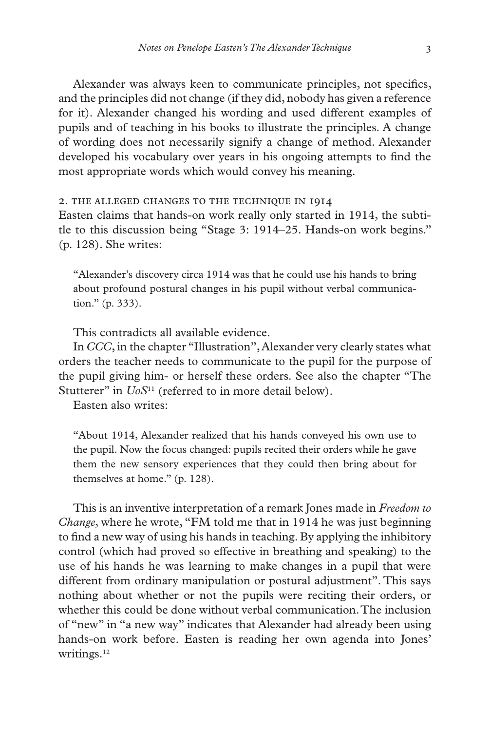Alexander was always keen to communicate principles, not specifics, and the principles did not change (if they did, nobody has given a reference for it). Alexander changed his wording and used different examples of pupils and of teaching in his books to illustrate the principles. A change of wording does not necessarily signify a change of method. Alexander developed his vocabulary over years in his ongoing attempts to find the most appropriate words which would convey his meaning.

2. The alleged changes to the Technique in 1914

Easten claims that hands-on work really only started in 1914, the subtitle to this discussion being "Stage 3: 1914–25. Hands-on work begins." (p. 128). She writes:

"Alexander's discovery circa 1914 was that he could use his hands to bring about profound postural changes in his pupil without verbal communication." (p. 333).

This contradicts all available evidence.

In *CCC*, in the chapter "Illustration", Alexander very clearly states what orders the teacher needs to communicate to the pupil for the purpose of the pupil giving him- or herself these orders. See also the chapter "The Stutterer" in *UoS*<sup>11</sup> (referred to in more detail below).

Easten also writes:

"About 1914, Alexander realized that his hands conveyed his own use to the pupil. Now the focus changed: pupils recited their orders while he gave them the new sensory experiences that they could then bring about for themselves at home." (p. 128).

This is an inventive interpretation of a remark Jones made in *Freedom to Change*, where he wrote, "FM told me that in 1914 he was just beginning to find a new way of using his hands in teaching. By applying the inhibitory control (which had proved so effective in breathing and speaking) to the use of his hands he was learning to make changes in a pupil that were different from ordinary manipulation or postural adjustment". This says nothing about whether or not the pupils were reciting their orders, or whether this could be done without verbal communication. The inclusion of "new" in "a new way" indicates that Alexander had already been using hands-on work before. Easten is reading her own agenda into Jones' writings.12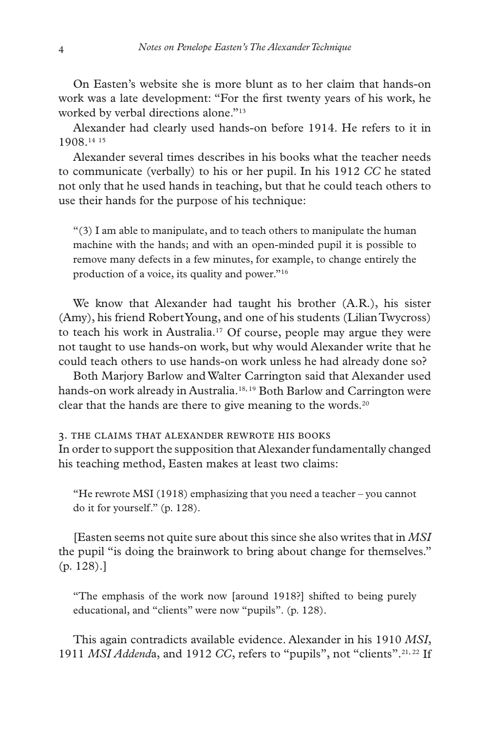On Easten's website she is more blunt as to her claim that hands-on work was a late development: "For the first twenty years of his work, he worked by verbal directions alone."13

Alexander had clearly used hands-on before 1914. He refers to it in 1908.14 <sup>15</sup>

Alexander several times describes in his books what the teacher needs to communicate (verbally) to his or her pupil. In his 1912 *CC* he stated not only that he used hands in teaching, but that he could teach others to use their hands for the purpose of his technique:

 $\mathcal{L}(3)$  I am able to manipulate, and to teach others to manipulate the human machine with the hands; and with an open-minded pupil it is possible to remove many defects in a few minutes, for example, to change entirely the production of a voice, its quality and power."16

We know that Alexander had taught his brother (A.R.), his sister (Amy), his friend Robert Young, and one of his students (Lilian Twycross) to teach his work in Australia.17 Of course, people may argue they were not taught to use hands-on work, but why would Alexander write that he could teach others to use hands-on work unless he had already done so?

Both Marjory Barlow and Walter Carrington said that Alexander used hands-on work already in Australia.<sup>18, 19</sup> Both Barlow and Carrington were clear that the hands are there to give meaning to the words. $20$ 

#### 3. The claims that Alexander rewrote his books

In order to support the supposition that Alexander fundamentally changed his teaching method, Easten makes at least two claims:

"He rewrote MSI (1918) emphasizing that you need a teacher – you cannot do it for yourself." (p. 128).

[Easten seems not quite sure about this since she also writes that in *MSI* the pupil "is doing the brainwork to bring about change for themselves." (p. 128).]

"The emphasis of the work now [around 1918?] shifted to being purely educational, and "clients" were now "pupils". (p. 128).

This again contradicts available evidence. Alexander in his 1910 *MSI*, 1911 *MSI Addend*a, and 1912 *CC*, refers to "pupils", not "clients".21, 22 If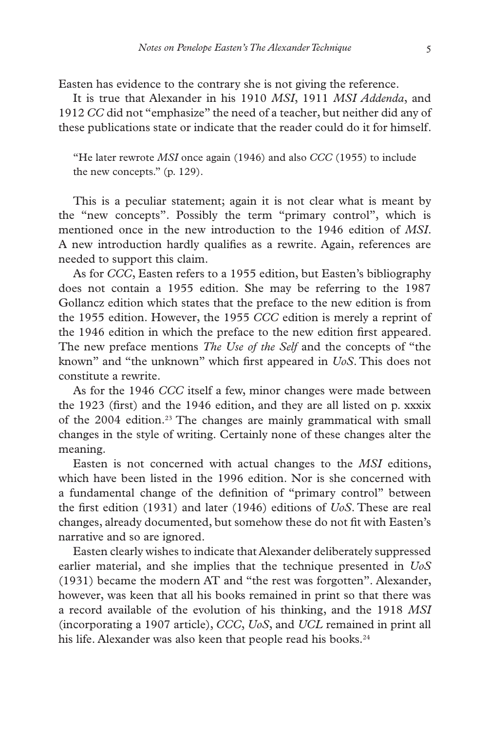Easten has evidence to the contrary she is not giving the reference.

It is true that Alexander in his 1910 *MSI*, 1911 *MSI Addenda*, and 1912 *CC* did not "emphasize" the need of a teacher, but neither did any of these publications state or indicate that the reader could do it for himself.

"He later rewrote *MSI* once again (1946) and also *CCC* (1955) to include the new concepts." (p. 129).

This is a peculiar statement; again it is not clear what is meant by the "new concepts". Possibly the term "primary control", which is mentioned once in the new introduction to the 1946 edition of *MSI*. A new introduction hardly qualifies as a rewrite. Again, references are needed to support this claim.

As for *CCC*, Easten refers to a 1955 edition, but Easten's bibliography does not contain a 1955 edition. She may be referring to the 1987 Gollancz edition which states that the preface to the new edition is from the 1955 edition. However, the 1955 *CCC* edition is merely a reprint of the 1946 edition in which the preface to the new edition first appeared. The new preface mentions *The Use of the Self* and the concepts of "the known" and "the unknown" which first appeared in *UoS*. This does not constitute a rewrite.

As for the 1946 *CCC* itself a few, minor changes were made between the 1923 (first) and the 1946 edition, and they are all listed on p. xxxix of the 2004 edition.<sup>23</sup> The changes are mainly grammatical with small changes in the style of writing. Certainly none of these changes alter the meaning.

Easten is not concerned with actual changes to the *MSI* editions, which have been listed in the 1996 edition. Nor is she concerned with a fundamental change of the definition of "primary control" between the first edition (1931) and later (1946) editions of *UoS*. These are real changes, already documented, but somehow these do not fit with Easten's narrative and so are ignored.

Easten clearly wishes to indicate that Alexander deliberately suppressed earlier material, and she implies that the technique presented in *UoS* (1931) became the modern AT and "the rest was forgotten". Alexander, however, was keen that all his books remained in print so that there was a record available of the evolution of his thinking, and the 1918 *MSI* (incorporating a 1907 article), *CCC*, *UoS*, and *UCL* remained in print all his life. Alexander was also keen that people read his books.<sup>24</sup>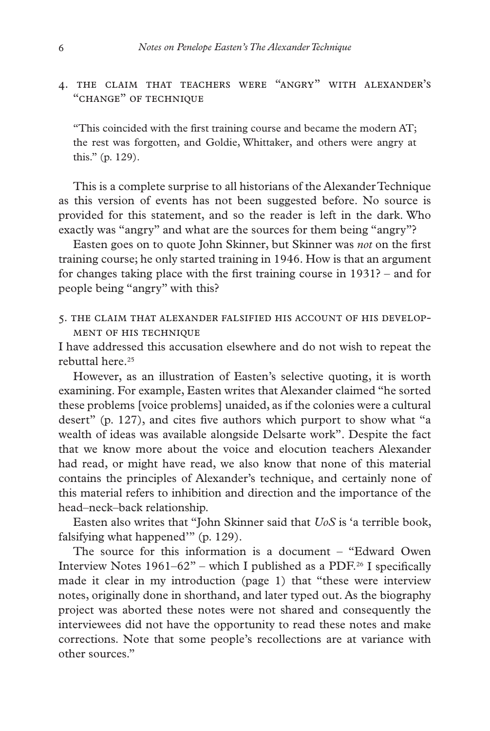# 4. The claim that teachers were "angry" with Alexander's "change" of technique

"This coincided with the first training course and became the modern AT; the rest was forgotten, and Goldie, Whittaker, and others were angry at this." (p. 129).

This is a complete surprise to all historians of the Alexander Technique as this version of events has not been suggested before. No source is provided for this statement, and so the reader is left in the dark. Who exactly was "angry" and what are the sources for them being "angry"?

Easten goes on to quote John Skinner, but Skinner was *not* on the first training course; he only started training in 1946. How is that an argument for changes taking place with the first training course in 1931? – and for people being "angry" with this?

5. The claim that Alexander falsified his account of his development of his technique

I have addressed this accusation elsewhere and do not wish to repeat the rebuttal here.25

However, as an illustration of Easten's selective quoting, it is worth examining. For example, Easten writes that Alexander claimed "he sorted these problems [voice problems] unaided, as if the colonies were a cultural desert" (p. 127), and cites five authors which purport to show what "a wealth of ideas was available alongside Delsarte work". Despite the fact that we know more about the voice and elocution teachers Alexander had read, or might have read, we also know that none of this material contains the principles of Alexander's technique, and certainly none of this material refers to inhibition and direction and the importance of the head–neck–back relationship.

Easten also writes that "John Skinner said that *UoS* is 'a terrible book, falsifying what happened'" (p. 129).

The source for this information is a document – "Edward Owen Interview Notes  $1961-62"$  – which I published as a PDF.<sup>26</sup> I specifically made it clear in my introduction (page 1) that "these were interview notes, originally done in shorthand, and later typed out. As the biography project was aborted these notes were not shared and consequently the interviewees did not have the opportunity to read these notes and make corrections. Note that some people's recollections are at variance with other sources."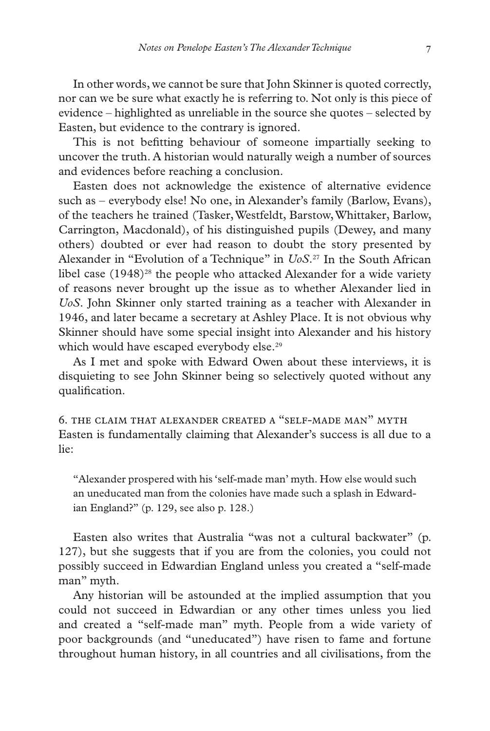In other words, we cannot be sure that John Skinner is quoted correctly, nor can we be sure what exactly he is referring to. Not only is this piece of evidence – highlighted as unreliable in the source she quotes – selected by Easten, but evidence to the contrary is ignored.

This is not befitting behaviour of someone impartially seeking to uncover the truth. A historian would naturally weigh a number of sources and evidences before reaching a conclusion.

Easten does not acknowledge the existence of alternative evidence such as – everybody else! No one, in Alexander's family (Barlow, Evans), of the teachers he trained (Tasker, Westfeldt, Barstow, Whittaker, Barlow, Carrington, Macdonald), of his distinguished pupils (Dewey, and many others) doubted or ever had reason to doubt the story presented by Alexander in "Evolution of a Technique" in *UoS*. 27 In the South African libel case  $(1948)^{28}$  the people who attacked Alexander for a wide variety of reasons never brought up the issue as to whether Alexander lied in *UoS*. John Skinner only started training as a teacher with Alexander in 1946, and later became a secretary at Ashley Place. It is not obvious why Skinner should have some special insight into Alexander and his history which would have escaped everybody else.<sup>29</sup>

As I met and spoke with Edward Owen about these interviews, it is disquieting to see John Skinner being so selectively quoted without any qualification.

6. The claim that Alexander created a "self-made man" myth Easten is fundamentally claiming that Alexander's success is all due to a lie:

"Alexander prospered with his 'self-made man' myth. How else would such an uneducated man from the colonies have made such a splash in Edwardian England?" (p. 129, see also p. 128.)

Easten also writes that Australia "was not a cultural backwater" (p. 127), but she suggests that if you are from the colonies, you could not possibly succeed in Edwardian England unless you created a "self-made man" myth.

Any historian will be astounded at the implied assumption that you could not succeed in Edwardian or any other times unless you lied and created a "self-made man" myth. People from a wide variety of poor backgrounds (and "uneducated") have risen to fame and fortune throughout human history, in all countries and all civilisations, from the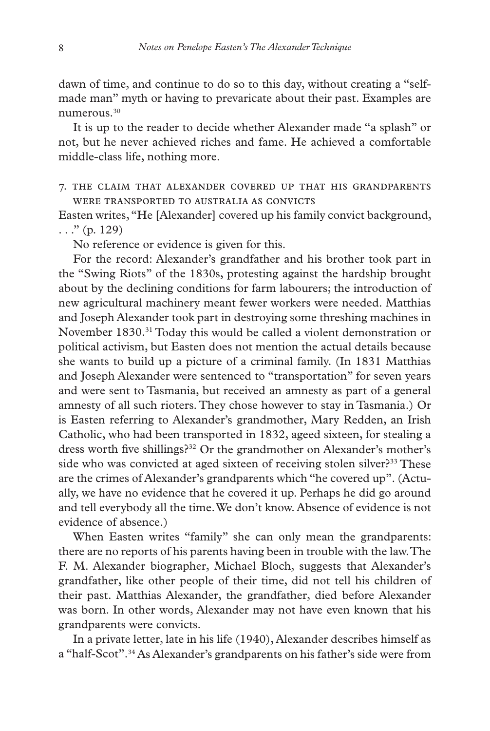dawn of time, and continue to do so to this day, without creating a "selfmade man" myth or having to prevaricate about their past. Examples are numerous.30

It is up to the reader to decide whether Alexander made "a splash" or not, but he never achieved riches and fame. He achieved a comfortable middle-class life, nothing more.

7. The claim that Alexander covered up that his grandparents were transported to Australia as convicts

Easten writes, "He [Alexander] covered up his family convict background,  $\ldots$ " (p. 129)

No reference or evidence is given for this.

For the record: Alexander's grandfather and his brother took part in the "Swing Riots" of the 1830s, protesting against the hardship brought about by the declining conditions for farm labourers; the introduction of new agricultural machinery meant fewer workers were needed. Matthias and Joseph Alexander took part in destroying some threshing machines in November 1830.31 Today this would be called a violent demonstration or political activism, but Easten does not mention the actual details because she wants to build up a picture of a criminal family. (In 1831 Matthias and Joseph Alexander were sentenced to "transportation" for seven years and were sent to Tasmania, but received an amnesty as part of a general amnesty of all such rioters. They chose however to stay in Tasmania.) Or is Easten referring to Alexander's grandmother, Mary Redden, an Irish Catholic, who had been transported in 1832, ageed sixteen, for stealing a dress worth five shillings?32 Or the grandmother on Alexander's mother's side who was convicted at aged sixteen of receiving stolen silver?<sup>33</sup> These are the crimes of Alexander's grandparents which "he covered up". (Actually, we have no evidence that he covered it up. Perhaps he did go around and tell everybody all the time. We don't know. Absence of evidence is not evidence of absence.)

When Easten writes "family" she can only mean the grandparents: there are no reports of his parents having been in trouble with the law. The F. M. Alexander biographer, Michael Bloch, suggests that Alexander's grandfather, like other people of their time, did not tell his children of their past. Matthias Alexander, the grandfather, died before Alexander was born. In other words, Alexander may not have even known that his grandparents were convicts.

In a private letter, late in his life (1940), Alexander describes himself as a "half-Scot".34 As Alexander's grandparents on his father's side were from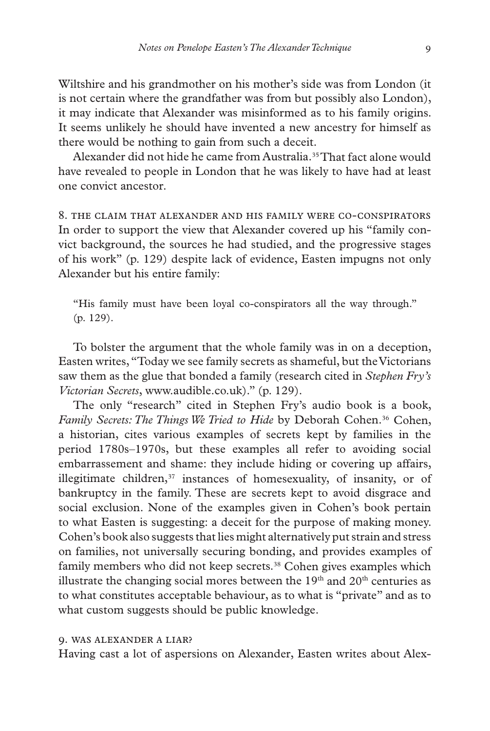Wiltshire and his grandmother on his mother's side was from London (it is not certain where the grandfather was from but possibly also London), it may indicate that Alexander was misinformed as to his family origins. It seems unlikely he should have invented a new ancestry for himself as there would be nothing to gain from such a deceit.

Alexander did not hide he came from Australia.<sup>35</sup> That fact alone would have revealed to people in London that he was likely to have had at least one convict ancestor.

8. The claim that Alexander and his family were co-conspirators In order to support the view that Alexander covered up his "family convict background, the sources he had studied, and the progressive stages of his work" (p. 129) despite lack of evidence, Easten impugns not only Alexander but his entire family:

"His family must have been loyal co-conspirators all the way through." (p. 129).

To bolster the argument that the whole family was in on a deception, Easten writes, "Today we see family secrets as shameful, but the Victorians saw them as the glue that bonded a family (research cited in *Stephen Fry's Victorian Secrets*, www.audible.co.uk)." (p. 129).

The only "research" cited in Stephen Fry's audio book is a book, Family Secrets: The Things We Tried to Hide by Deborah Cohen.<sup>36</sup> Cohen, a historian, cites various examples of secrets kept by families in the period 1780s–1970s, but these examples all refer to avoiding social embarrassement and shame: they include hiding or covering up affairs, illegitimate children, $37$  instances of homesexuality, of insanity, or of bankruptcy in the family. These are secrets kept to avoid disgrace and social exclusion. None of the examples given in Cohen's book pertain to what Easten is suggesting: a deceit for the purpose of making money. Cohen's book also suggests that lies might alternatively put strain and stress on families, not universally securing bonding, and provides examples of family members who did not keep secrets.<sup>38</sup> Cohen gives examples which illustrate the changing social mores between the  $19<sup>th</sup>$  and  $20<sup>th</sup>$  centuries as to what constitutes acceptable behaviour, as to what is "private" and as to what custom suggests should be public knowledge.

## 9. Was Alexander a liar?

Having cast a lot of aspersions on Alexander, Easten writes about Alex-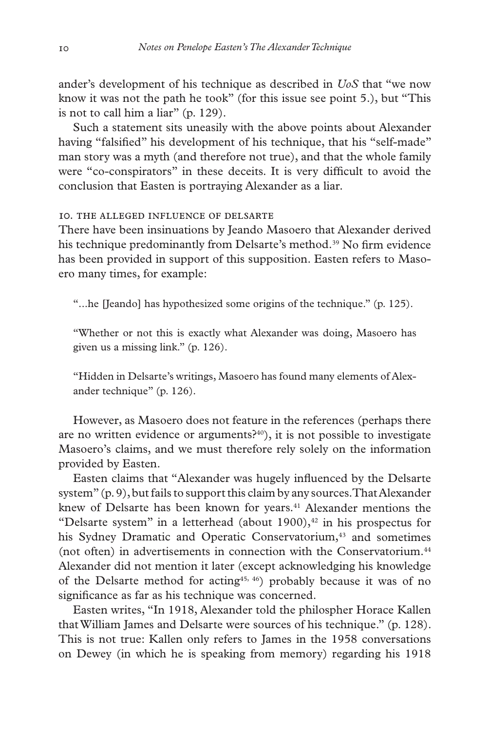ander's development of his technique as described in *UoS* that "we now know it was not the path he took" (for this issue see point 5.), but "This is not to call him a liar" (p. 129).

Such a statement sits uneasily with the above points about Alexander having "falsified" his development of his technique, that his "self-made" man story was a myth (and therefore not true), and that the whole family were "co-conspirators" in these deceits. It is very difficult to avoid the conclusion that Easten is portraying Alexander as a liar.

#### 10. The alleged influence of Delsarte

There have been insinuations by Jeando Masoero that Alexander derived his technique predominantly from Delsarte's method.<sup>39</sup> No firm evidence has been provided in support of this supposition. Easten refers to Masoero many times, for example:

"...he [Jeando] has hypothesized some origins of the technique." (p. 125).

"Whether or not this is exactly what Alexander was doing, Masoero has given us a missing link." (p. 126).

"Hidden in Delsarte's writings, Masoero has found many elements of Alexander technique" (p. 126).

However, as Masoero does not feature in the references (perhaps there are no written evidence or arguments?40), it is not possible to investigate Masoero's claims, and we must therefore rely solely on the information provided by Easten.

Easten claims that "Alexander was hugely influenced by the Delsarte system" (p. 9), but fails to support this claim by any sources. That Alexander knew of Delsarte has been known for years.<sup>41</sup> Alexander mentions the "Delsarte system" in a letterhead (about 1900), $42$  in his prospectus for his Sydney Dramatic and Operatic Conservatorium,<sup>43</sup> and sometimes (not often) in advertisements in connection with the Conservatorium.<sup>44</sup> Alexander did not mention it later (except acknowledging his knowledge of the Delsarte method for acting<sup>45, 46</sup>) probably because it was of no significance as far as his technique was concerned.

Easten writes, "In 1918, Alexander told the philospher Horace Kallen that William James and Delsarte were sources of his technique." (p. 128). This is not true: Kallen only refers to James in the 1958 conversations on Dewey (in which he is speaking from memory) regarding his 1918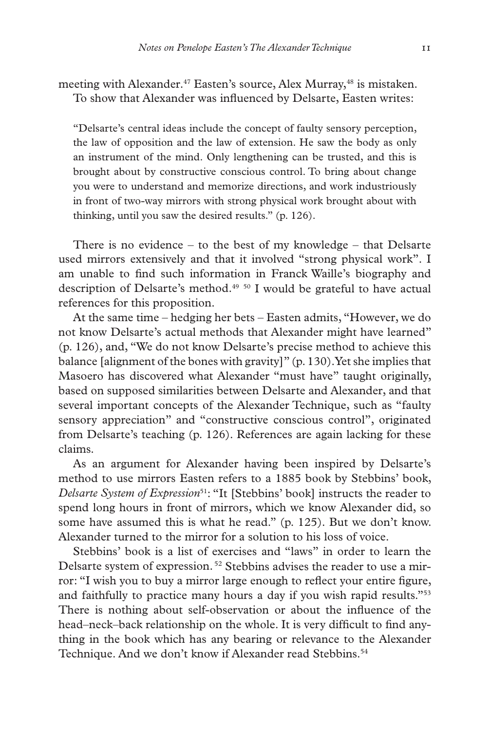meeting with Alexander.<sup>47</sup> Easten's source, Alex Murray,<sup>48</sup> is mistaken. To show that Alexander was influenced by Delsarte, Easten writes:

"Delsarte's central ideas include the concept of faulty sensory perception, the law of opposition and the law of extension. He saw the body as only an instrument of the mind. Only lengthening can be trusted, and this is brought about by constructive conscious control. To bring about change you were to understand and memorize directions, and work industriously in front of two-way mirrors with strong physical work brought about with thinking, until you saw the desired results." (p. 126).

There is no evidence – to the best of my knowledge – that Delsarte used mirrors extensively and that it involved "strong physical work". I am unable to find such information in Franck Waille's biography and description of Delsarte's method.<sup>49 50</sup> I would be grateful to have actual references for this proposition.

At the same time – hedging her bets – Easten admits, "However, we do not know Delsarte's actual methods that Alexander might have learned" (p. 126), and, "We do not know Delsarte's precise method to achieve this balance [alignment of the bones with gravity]" (p. 130). Yet she implies that Masoero has discovered what Alexander "must have" taught originally, based on supposed similarities between Delsarte and Alexander, and that several important concepts of the Alexander Technique, such as "faulty sensory appreciation" and "constructive conscious control", originated from Delsarte's teaching (p. 126). References are again lacking for these claims.

As an argument for Alexander having been inspired by Delsarte's method to use mirrors Easten refers to a 1885 book by Stebbins' book, *Delsarte System of Expression*<sup>51</sup>: "It [Stebbins' book] instructs the reader to spend long hours in front of mirrors, which we know Alexander did, so some have assumed this is what he read." (p. 125). But we don't know. Alexander turned to the mirror for a solution to his loss of voice.

Stebbins' book is a list of exercises and "laws" in order to learn the Delsarte system of expression.<sup>52</sup> Stebbins advises the reader to use a mirror: "I wish you to buy a mirror large enough to reflect your entire figure, and faithfully to practice many hours a day if you wish rapid results."53 There is nothing about self-observation or about the influence of the head–neck–back relationship on the whole. It is very difficult to find anything in the book which has any bearing or relevance to the Alexander Technique. And we don't know if Alexander read Stebbins.<sup>54</sup>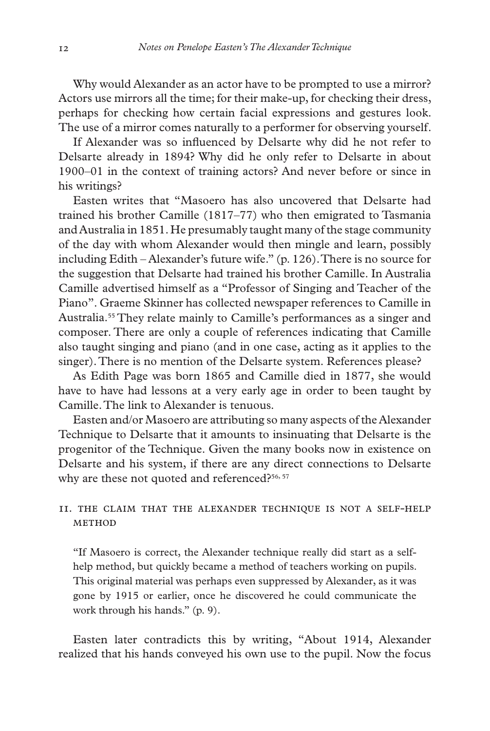Why would Alexander as an actor have to be prompted to use a mirror? Actors use mirrors all the time; for their make-up, for checking their dress, perhaps for checking how certain facial expressions and gestures look. The use of a mirror comes naturally to a performer for observing yourself.

If Alexander was so influenced by Delsarte why did he not refer to Delsarte already in 1894? Why did he only refer to Delsarte in about 1900–01 in the context of training actors? And never before or since in his writings?

Easten writes that "Masoero has also uncovered that Delsarte had trained his brother Camille (1817–77) who then emigrated to Tasmania and Australia in 1851. He presumably taught many of the stage community of the day with whom Alexander would then mingle and learn, possibly including Edith – Alexander's future wife." (p. 126). There is no source for the suggestion that Delsarte had trained his brother Camille. In Australia Camille advertised himself as a "Professor of Singing and Teacher of the Piano". Graeme Skinner has collected newspaper references to Camille in Australia.55 They relate mainly to Camille's performances as a singer and composer. There are only a couple of references indicating that Camille also taught singing and piano (and in one case, acting as it applies to the singer). There is no mention of the Delsarte system. References please?

As Edith Page was born 1865 and Camille died in 1877, she would have to have had lessons at a very early age in order to been taught by Camille. The link to Alexander is tenuous.

Easten and/or Masoero are attributing so many aspects of the Alexander Technique to Delsarte that it amounts to insinuating that Delsarte is the progenitor of the Technique. Given the many books now in existence on Delsarte and his system, if there are any direct connections to Delsarte why are these not quoted and referenced?<sup>56, 57</sup>

## 11. The claim that the Alexander Technique is not a self-help  $M$ FTHOD

"If Masoero is correct, the Alexander technique really did start as a selfhelp method, but quickly became a method of teachers working on pupils. This original material was perhaps even suppressed by Alexander, as it was gone by 1915 or earlier, once he discovered he could communicate the work through his hands." (p. 9).

Easten later contradicts this by writing, "About 1914, Alexander realized that his hands conveyed his own use to the pupil. Now the focus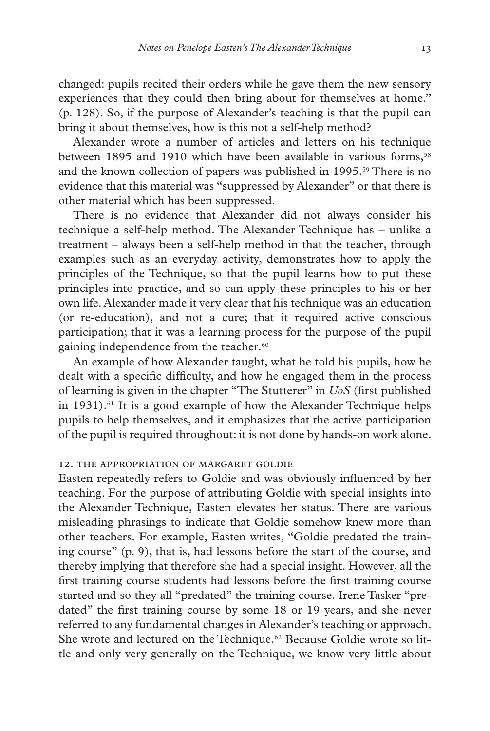changed: pupils recited their orders while he gave them the new sensory experiences that they could then bring about for themselves at home." (p. 128). So, if the purpose of Alexander's teaching is that the pupil can bring it about themselves, how is this not a self-help method?

Alexander wrote a number of articles and letters on his technique between 1895 and 1910 which have been available in various forms,<sup>58</sup> and the known collection of papers was published in 1995.<sup>59</sup> There is no evidence that this material was "suppressed by Alexander" or that there is other material which has been suppressed.

There is no evidence that Alexander did not always consider his technique a self-help method. The Alexander Technique has – unlike a treatment – always been a self-help method in that the teacher, through examples such as an everyday activity, demonstrates how to apply the principles of the Technique, so that the pupil learns how to put these principles into practice, and so can apply these principles to his or her own life. Alexander made it very clear that his technique was an education (or re-education), and not a cure; that it required active conscious participation; that it was a learning process for the purpose of the pupil gaining independence from the teacher.<sup>60</sup>

An example of how Alexander taught, what he told his pupils, how he dealt with a specific difficulty, and how he engaged them in the process of learning is given in the chapter "The Stutterer" in *UoS* (first published in  $1931$ ).<sup>61</sup> It is a good example of how the Alexander Technique helps pupils to help themselves, and it emphasizes that the active participation of the pupil is required throughout: it is not done by hands-on work alone.

## 12. The appropriation of Margaret Goldie

Easten repeatedly refers to Goldie and was obviously influenced by her teaching. For the purpose of attributing Goldie with special insights into the Alexander Technique, Easten elevates her status. There are various misleading phrasings to indicate that Goldie somehow knew more than other teachers. For example, Easten writes, "Goldie predated the training course" (p. 9), that is, had lessons before the start of the course, and thereby implying that therefore she had a special insight. However, all the first training course students had lessons before the first training course started and so they all "predated" the training course. Irene Tasker "predated" the first training course by some 18 or 19 years, and she never referred to any fundamental changes in Alexander's teaching or approach. She wrote and lectured on the Technique.<sup>62</sup> Because Goldie wrote so little and only very generally on the Technique, we know very little about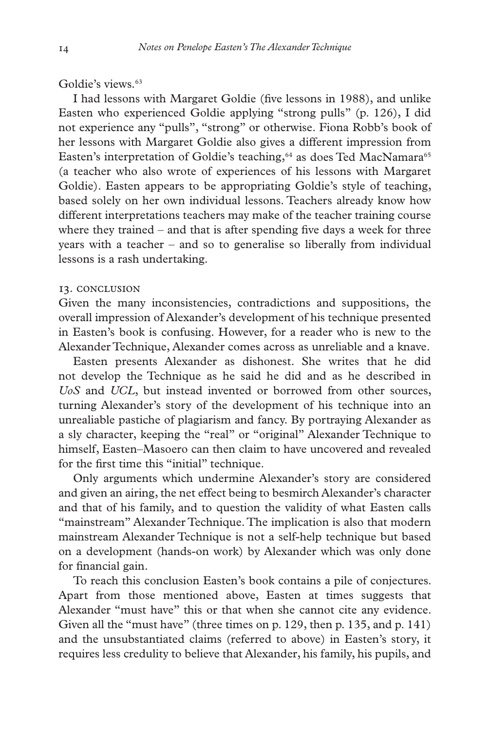## Goldie's views.<sup>63</sup>

I had lessons with Margaret Goldie (five lessons in 1988), and unlike Easten who experienced Goldie applying "strong pulls" (p. 126), I did not experience any "pulls", "strong" or otherwise. Fiona Robb's book of her lessons with Margaret Goldie also gives a different impression from Easten's interpretation of Goldie's teaching,<sup>64</sup> as does Ted MacNamara<sup>65</sup> (a teacher who also wrote of experiences of his lessons with Margaret Goldie). Easten appears to be appropriating Goldie's style of teaching, based solely on her own individual lessons. Teachers already know how different interpretations teachers may make of the teacher training course where they trained – and that is after spending five days a week for three years with a teacher – and so to generalise so liberally from individual lessons is a rash undertaking.

#### 13. Conclusion

Given the many inconsistencies, contradictions and suppositions, the overall impression of Alexander's development of his technique presented in Easten's book is confusing. However, for a reader who is new to the Alexander Technique, Alexander comes across as unreliable and a knave.

Easten presents Alexander as dishonest. She writes that he did not develop the Technique as he said he did and as he described in *UoS* and *UCL*, but instead invented or borrowed from other sources, turning Alexander's story of the development of his technique into an unrealiable pastiche of plagiarism and fancy. By portraying Alexander as a sly character, keeping the "real" or "original" Alexander Technique to himself, Easten–Masoero can then claim to have uncovered and revealed for the first time this "initial" technique.

Only arguments which undermine Alexander's story are considered and given an airing, the net effect being to besmirch Alexander's character and that of his family, and to question the validity of what Easten calls "mainstream" Alexander Technique. The implication is also that modern mainstream Alexander Technique is not a self-help technique but based on a development (hands-on work) by Alexander which was only done for financial gain.

To reach this conclusion Easten's book contains a pile of conjectures. Apart from those mentioned above, Easten at times suggests that Alexander "must have" this or that when she cannot cite any evidence. Given all the "must have" (three times on p. 129, then p. 135, and p. 141) and the unsubstantiated claims (referred to above) in Easten's story, it requires less credulity to believe that Alexander, his family, his pupils, and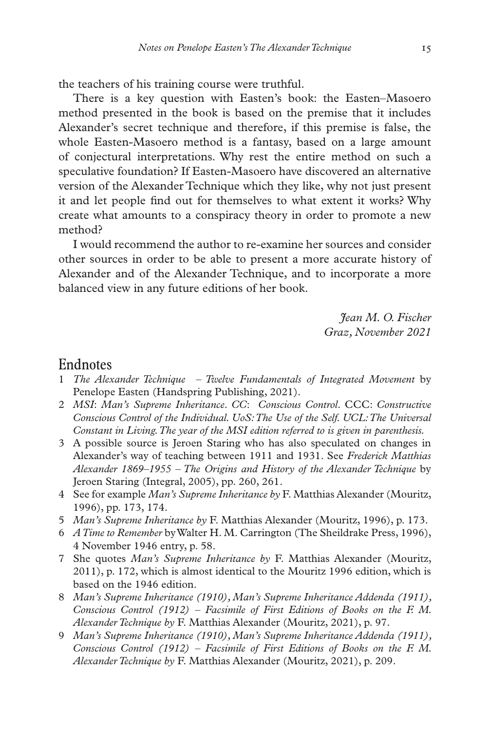the teachers of his training course were truthful.

There is a key question with Easten's book: the Easten–Masoero method presented in the book is based on the premise that it includes Alexander's secret technique and therefore, if this premise is false, the whole Easten-Masoero method is a fantasy, based on a large amount of conjectural interpretations. Why rest the entire method on such a speculative foundation? If Easten-Masoero have discovered an alternative version of the Alexander Technique which they like, why not just present it and let people find out for themselves to what extent it works? Why create what amounts to a conspiracy theory in order to promote a new method?

I would recommend the author to re-examine her sources and consider other sources in order to be able to present a more accurate history of Alexander and of the Alexander Technique, and to incorporate a more balanced view in any future editions of her book.

> *Jean M. O. Fischer Graz, November 2021*

## Endnotes

- 1 *The Alexander Technique Twelve Fundamentals of Integrated Movement* by Penelope Easten (Handspring Publishing, 2021).
- 2 *MSI*: *Man's Supreme Inheritance*. *CC*: *Conscious Control*. CCC: *Constructive Conscious Control of the Individual. UoS: The Use of the Self. UCL: The Universal Constant in Living. The year of the MSI edition referred to is given in parenthesis.*
- 3 A possible source is Jeroen Staring who has also speculated on changes in Alexander's way of teaching between 1911 and 1931. See *Frederick Matthias Alexander 1869–1955 – The Origins and History of the Alexander Technique* by Jeroen Staring (Integral, 2005), pp. 260, 261.
- 4 See for example *Man's Supreme Inheritance by* F. Matthias Alexander (Mouritz, 1996), pp. 173, 174.
- 5 *Man's Supreme Inheritance by* F. Matthias Alexander (Mouritz, 1996), p. 173.
- 6 *A Time to Remember* by Walter H. M. Carrington (The Sheildrake Press, 1996), 4 November 1946 entry, p. 58.
- 7 She quotes *Man's Supreme Inheritance by* F. Matthias Alexander (Mouritz, 2011), p. 172, which is almost identical to the Mouritz 1996 edition, which is based on the 1946 edition.
- 8 *Man's Supreme Inheritance (1910), Man's Supreme Inheritance Addenda (1911), Conscious Control (1912) – Facsimile of First Editions of Books on the F. M. Alexander Technique by* F. Matthias Alexander (Mouritz, 2021), p. 97.
- 9 *Man's Supreme Inheritance (1910), Man's Supreme Inheritance Addenda (1911), Conscious Control (1912) – Facsimile of First Editions of Books on the F. M. Alexander Technique by* F. Matthias Alexander (Mouritz, 2021), p. 209.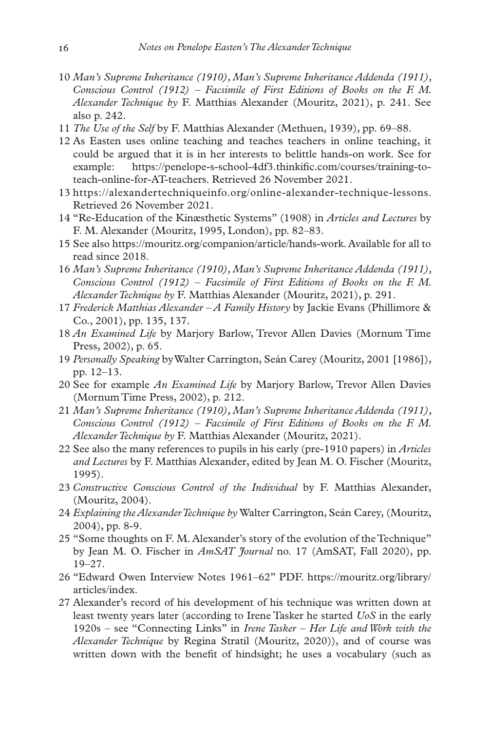- 10 *Man's Supreme Inheritance (1910), Man's Supreme Inheritance Addenda (1911), Conscious Control (1912) – Facsimile of First Editions of Books on the F. M. Alexander Technique by* F. Matthias Alexander (Mouritz, 2021), p. 241. See also p. 242.
- 11 *The Use of the Self* by F. Matthias Alexander (Methuen, 1939), pp. 69–88.
- 12 As Easten uses online teaching and teaches teachers in online teaching, it could be argued that it is in her interests to belittle hands-on work. See for example: https://penelope-s-school-4df3.thinkific.com/courses/training-toteach-online-for-AT-teachers. Retrieved 26 November 2021.
- 13 https://alexandertechniqueinfo.org/online-alexander-technique-lessons. Retrieved 26 November 2021.
- 14 "Re-Education of the Kinæsthetic Systems" (1908) in *Articles and Lectures* by F. M. Alexander (Mouritz, 1995, London), pp. 82–83.
- 15 See also https://mouritz.org/companion/article/hands-work. Available for all to read since 2018.
- 16 *Man's Supreme Inheritance (1910), Man's Supreme Inheritance Addenda (1911), Conscious Control (1912) – Facsimile of First Editions of Books on the F. M. Alexander Technique by* F. Matthias Alexander (Mouritz, 2021), p. 291.
- 17 *Frederick Matthias Alexander A Family History* by Jackie Evans (Phillimore & Co., 2001), pp. 135, 137.
- 18 *An Examined Life* by Marjory Barlow, Trevor Allen Davies (Mornum Time Press, 2002), p. 65.
- 19 *Personally Speaking* by Walter Carrington, Seán Carey (Mouritz, 2001 [1986]), pp. 12–13.
- 20 See for example *An Examined Life* by Marjory Barlow, Trevor Allen Davies (Mornum Time Press, 2002), p. 212.
- 21 *Man's Supreme Inheritance (1910), Man's Supreme Inheritance Addenda (1911), Conscious Control (1912) – Facsimile of First Editions of Books on the F. M. Alexander Technique by* F. Matthias Alexander (Mouritz, 2021).
- 22 See also the many references to pupils in his early (pre-1910 papers) in *Articles and Lectures* by F. Matthias Alexander, edited by Jean M. O. Fischer (Mouritz, 1995).
- 23 *Constructive Conscious Control of the Individual* by F. Matthias Alexander, (Mouritz, 2004).
- 24 *Explaining the Alexander Technique by* Walter Carrington, Seán Carey, (Mouritz, 2004), pp. 8-9.
- 25 "Some thoughts on F. M. Alexander's story of the evolution of the Technique" by Jean M. O. Fischer in *AmSAT Journal* no. 17 (AmSAT, Fall 2020), pp. 19–27.
- 26 "Edward Owen Interview Notes 1961–62" PDF. https://mouritz.org/library/ articles/index.
- 27 Alexander's record of his development of his technique was written down at least twenty years later (according to Irene Tasker he started *UoS* in the early 1920s – see "Connecting Links" in *Irene Tasker – Her Life and Work with the Alexander Technique* by Regina Stratil (Mouritz, 2020)), and of course was written down with the benefit of hindsight; he uses a vocabulary (such as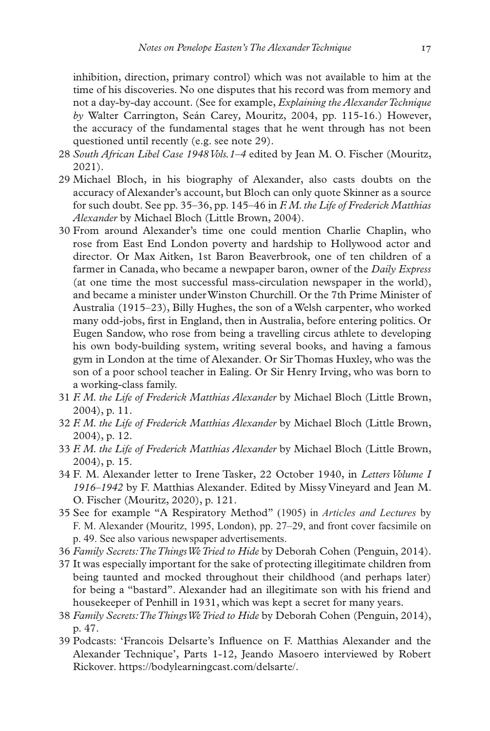inhibition, direction, primary control) which was not available to him at the time of his discoveries. No one disputes that his record was from memory and not a day-by-day account. (See for example, *Explaining the Alexander Technique by* Walter Carrington, Seán Carey*,* Mouritz, 2004, pp. 115-16.) However, the accuracy of the fundamental stages that he went through has not been questioned until recently (e.g. see note 29).

- 28 *South African Libel Case 1948 Vols.1–4* edited by Jean M. O. Fischer (Mouritz, 2021).
- 29 Michael Bloch, in his biography of Alexander, also casts doubts on the accuracy of Alexander's account, but Bloch can only quote Skinner as a source for such doubt. See pp. 35–36, pp. 145–46 in *F. M. the Life of Frederick Matthias Alexander* by Michael Bloch (Little Brown, 2004).
- 30 From around Alexander's time one could mention Charlie Chaplin, who rose from East End London poverty and hardship to Hollywood actor and director. Or Max Aitken, 1st Baron Beaverbrook, one of ten children of a farmer in Canada, who became a newpaper baron, owner of the *Daily Express* (at one time the most successful mass-circulation newspaper in the world), and became a minister under Winston Churchill. Or the 7th Prime Minister of Australia (1915–23), Billy Hughes, the son of a Welsh carpenter, who worked many odd-jobs, first in England, then in Australia, before entering politics. Or Eugen Sandow, who rose from being a travelling circus athlete to developing his own body-building system, writing several books, and having a famous gym in London at the time of Alexander. Or Sir Thomas Huxley, who was the son of a poor school teacher in Ealing. Or Sir Henry Irving, who was born to a working-class family.
- 31 *F. M. the Life of Frederick Matthias Alexander* by Michael Bloch (Little Brown, 2004), p. 11.
- 32 *F. M. the Life of Frederick Matthias Alexander* by Michael Bloch (Little Brown, 2004), p. 12.
- 33 *F. M. the Life of Frederick Matthias Alexander* by Michael Bloch (Little Brown, 2004), p. 15.
- 34 F. M. Alexander letter to Irene Tasker, 22 October 1940, in *Letters Volume I 1916–1942* by F. Matthias Alexander. Edited by Missy Vineyard and Jean M. O. Fischer (Mouritz, 2020), p. 121.
- 35 See for example "A Respiratory Method" (1905) in *Articles and Lectures* by F. M. Alexander (Mouritz, 1995, London), pp. 27–29, and front cover facsimile on p. 49. See also various newspaper advertisements.
- 36 *Family Secrets: The Things We Tried to Hide* by Deborah Cohen (Penguin, 2014).
- 37 It was especially important for the sake of protecting illegitimate children from being taunted and mocked throughout their childhood (and perhaps later) for being a "bastard". Alexander had an illegitimate son with his friend and housekeeper of Penhill in 1931, which was kept a secret for many years.
- 38 *Family Secrets: The Things We Tried to Hide* by Deborah Cohen (Penguin, 2014), p. 47.
- 39 Podcasts: 'Francois Delsarte's Influence on F. Matthias Alexander and the Alexander Technique', Parts 1-12, Jeando Masoero interviewed by Robert Rickover. https://bodylearningcast.com/delsarte/.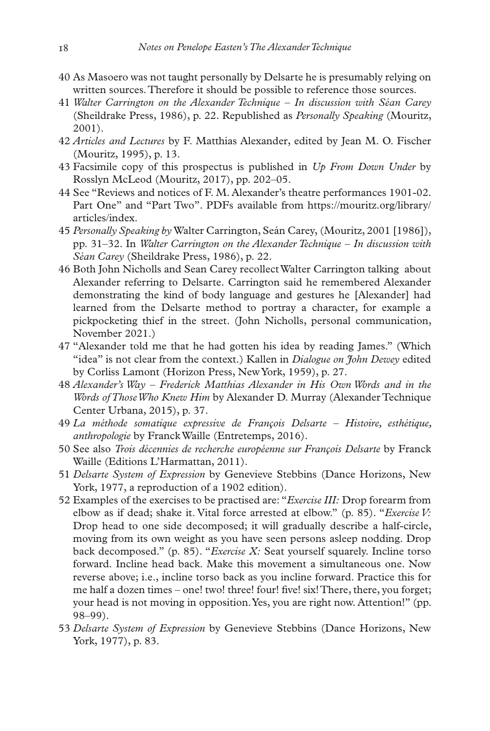- 40 As Masoero was not taught personally by Delsarte he is presumably relying on written sources. Therefore it should be possible to reference those sources.
- 41 *Walter Carrington on the Alexander Technique In discussion with Séan Carey* (Sheildrake Press, 1986), p. 22. Republished as *Personally Speaking* (Mouritz, 2001).
- 42 *Articles and Lectures* by F. Matthias Alexander, edited by Jean M. O. Fischer (Mouritz, 1995), p. 13.
- 43 Facsimile copy of this prospectus is published in *Up From Down Under* by Rosslyn McLeod (Mouritz, 2017), pp. 202–05.
- 44 See "Reviews and notices of F. M. Alexander's theatre performances 1901-02. Part One" and "Part Two". PDFs available from https://mouritz.org/library/ articles/index.
- 45 *Personally Speaking by* Walter Carrington, Seán Carey, (Mouritz, 2001 [1986]), pp. 31–32. In *Walter Carrington on the Alexander Technique – In discussion with Séan Carey* (Sheildrake Press, 1986), p. 22.
- 46 Both John Nicholls and Sean Carey recollect Walter Carrington talking about Alexander referring to Delsarte. Carrington said he remembered Alexander demonstrating the kind of body language and gestures he [Alexander] had learned from the Delsarte method to portray a character, for example a pickpocketing thief in the street. (John Nicholls, personal communication, November 2021.)
- 47 "Alexander told me that he had gotten his idea by reading James." (Which "idea" is not clear from the context.) Kallen in *Dialogue on John Dewey* edited by Corliss Lamont (Horizon Press, New York, 1959), p. 27.
- 48 *Alexander's Way Frederick Matthias Alexander in His Own Words and in the Words of Those Who Knew Him* by Alexander D. Murray (Alexander Technique Center Urbana, 2015), p. 37.
- 49 *La méthode somatique expressive de François Delsarte Histoire, esthétique, anthropologie* by Franck Waille (Entretemps, 2016).
- 50 See also *Trois décennies de recherche européenne sur François Delsarte* by Franck Waille (Editions L'Harmattan, 2011).
- 51 *Delsarte System of Expression* by Genevieve Stebbins (Dance Horizons, New York, 1977, a reproduction of a 1902 edition).
- 52 Examples of the exercises to be practised are: "*Exercise III:* Drop forearm from elbow as if dead; shake it. Vital force arrested at elbow." (p. 85). "*Exercise V:* Drop head to one side decomposed; it will gradually describe a half-circle, moving from its own weight as you have seen persons asleep nodding. Drop back decomposed." (p. 85). "*Exercise X:* Seat yourself squarely. Incline torso forward. Incline head back. Make this movement a simultaneous one. Now reverse above; i.e., incline torso back as you incline forward. Practice this for me half a dozen times – one! two! three! four! five! six! There, there, you forget; your head is not moving in opposition. Yes, you are right now. Attention!" (pp. 98–99).
- 53 *Delsarte System of Expression* by Genevieve Stebbins (Dance Horizons, New York, 1977), p. 83.